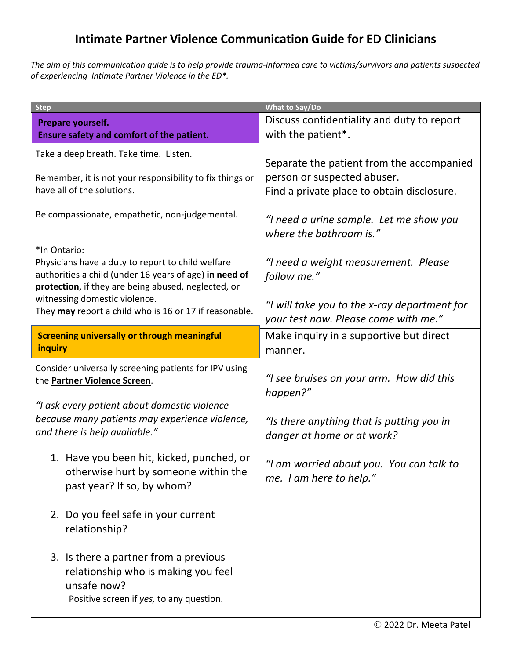## **Intimate Partner Violence Communication Guide for ED Clinicians**

*The aim of this communication guide is to help provide trauma-informed care to victims/survivors and patients suspected of experiencing Intimate Partner Violence in the ED\*.*

| <b>Step</b>                                                                                                                                                                        | <b>What to Say/Do</b>                                                                |
|------------------------------------------------------------------------------------------------------------------------------------------------------------------------------------|--------------------------------------------------------------------------------------|
| Prepare yourself.<br>Ensure safety and comfort of the patient.                                                                                                                     | Discuss confidentiality and duty to report<br>with the patient*.                     |
| Take a deep breath. Take time. Listen.                                                                                                                                             | Separate the patient from the accompanied                                            |
| Remember, it is not your responsibility to fix things or<br>have all of the solutions.                                                                                             | person or suspected abuser.<br>Find a private place to obtain disclosure.            |
| Be compassionate, empathetic, non-judgemental.                                                                                                                                     | "I need a urine sample. Let me show you<br>where the bathroom is."                   |
| *In Ontario:<br>Physicians have a duty to report to child welfare<br>authorities a child (under 16 years of age) in need of<br>protection, if they are being abused, neglected, or | "I need a weight measurement. Please<br>follow me."                                  |
| witnessing domestic violence.<br>They may report a child who is 16 or 17 if reasonable.                                                                                            | "I will take you to the x-ray department for<br>your test now. Please come with me." |
| <b>Screening universally or through meaningful</b><br>inquiry                                                                                                                      | Make inquiry in a supportive but direct<br>manner.                                   |
| Consider universally screening patients for IPV using<br>the Partner Violence Screen.                                                                                              | "I see bruises on your arm. How did this<br>happen?"                                 |
| "I ask every patient about domestic violence<br>because many patients may experience violence,<br>and there is help available."                                                    | "Is there anything that is putting you in<br>danger at home or at work?              |
| 1. Have you been hit, kicked, punched, or<br>otherwise hurt by someone within the<br>past year? If so, by whom?                                                                    | "I am worried about you. You can talk to<br>me. I am here to help."                  |
| 2. Do you feel safe in your current<br>relationship?                                                                                                                               |                                                                                      |
| 3. Is there a partner from a previous<br>relationship who is making you feel<br>unsafe now?<br>Positive screen if yes, to any question.                                            |                                                                                      |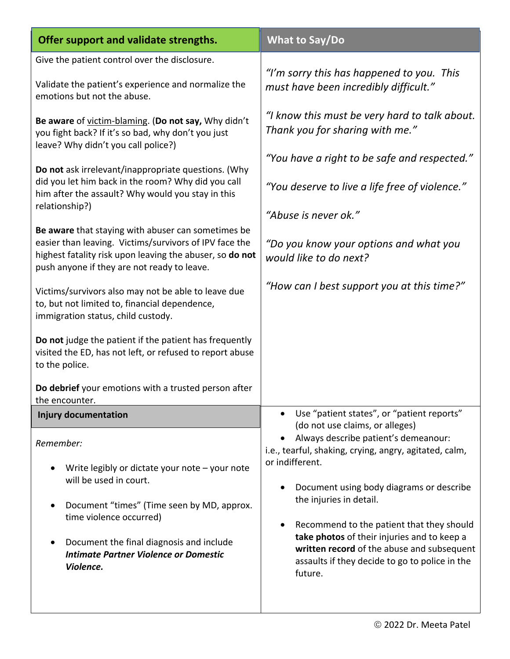| What to Say/Do                                                                                                                                                                                                                                                                                                                                                                                  |
|-------------------------------------------------------------------------------------------------------------------------------------------------------------------------------------------------------------------------------------------------------------------------------------------------------------------------------------------------------------------------------------------------|
|                                                                                                                                                                                                                                                                                                                                                                                                 |
| "I'm sorry this has happened to you. This<br>must have been incredibly difficult."                                                                                                                                                                                                                                                                                                              |
| "I know this must be very hard to talk about.<br>Thank you for sharing with me."<br>"You have a right to be safe and respected."<br>"You deserve to live a life free of violence."<br>"Abuse is never ok."<br>"Do you know your options and what you<br>would like to do next?<br>"How can I best support you at this time?"                                                                    |
|                                                                                                                                                                                                                                                                                                                                                                                                 |
| Use "patient states", or "patient reports"<br>(do not use claims, or alleges)                                                                                                                                                                                                                                                                                                                   |
| Always describe patient's demeanour:<br>i.e., tearful, shaking, crying, angry, agitated, calm,<br>or indifferent.<br>Document using body diagrams or describe<br>the injuries in detail.<br>Recommend to the patient that they should<br>take photos of their injuries and to keep a<br>written record of the abuse and subsequent<br>assaults if they decide to go to police in the<br>future. |
|                                                                                                                                                                                                                                                                                                                                                                                                 |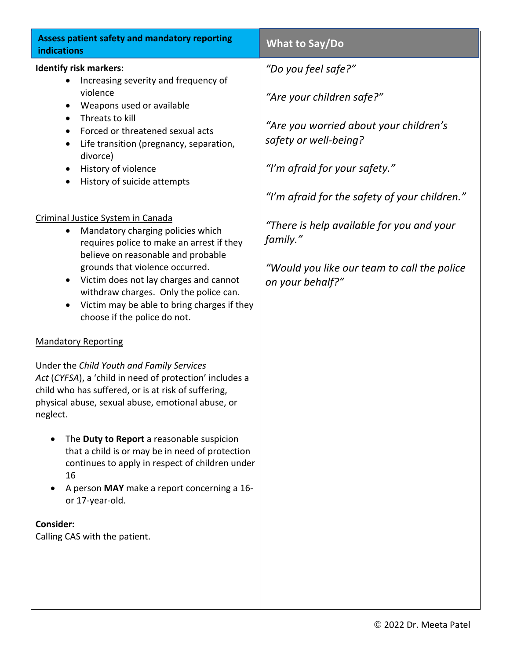| <b>Assess patient safety and mandatory reporting</b><br>indications                                                                                                                                                                                                                                                                                                                       | What to Say/Do                                                  |
|-------------------------------------------------------------------------------------------------------------------------------------------------------------------------------------------------------------------------------------------------------------------------------------------------------------------------------------------------------------------------------------------|-----------------------------------------------------------------|
| <b>Identify risk markers:</b><br>Increasing severity and frequency of<br>violence<br>Weapons used or available<br>Threats to kill<br>Forced or threatened sexual acts<br>Life transition (pregnancy, separation,<br>divorce)<br>History of violence<br>History of suicide attempts<br>٠                                                                                                   | "Do you feel safe?"                                             |
|                                                                                                                                                                                                                                                                                                                                                                                           | "Are your children safe?"                                       |
|                                                                                                                                                                                                                                                                                                                                                                                           | "Are you worried about your children's<br>safety or well-being? |
|                                                                                                                                                                                                                                                                                                                                                                                           | "I'm afraid for your safety."                                   |
|                                                                                                                                                                                                                                                                                                                                                                                           | "I'm afraid for the safety of your children."                   |
| Criminal Justice System in Canada<br>Mandatory charging policies which<br>requires police to make an arrest if they<br>believe on reasonable and probable<br>grounds that violence occurred.<br>Victim does not lay charges and cannot<br>$\bullet$<br>withdraw charges. Only the police can.<br>Victim may be able to bring charges if they<br>$\bullet$<br>choose if the police do not. | "There is help available for you and your<br>family."           |
|                                                                                                                                                                                                                                                                                                                                                                                           | "Would you like our team to call the police<br>on your behalf?" |
| <b>Mandatory Reporting</b>                                                                                                                                                                                                                                                                                                                                                                |                                                                 |
| Under the Child Youth and Family Services<br>Act (CYFSA), a 'child in need of protection' includes a<br>child who has suffered, or is at risk of suffering,<br>physical abuse, sexual abuse, emotional abuse, or<br>neglect.                                                                                                                                                              |                                                                 |
| The Duty to Report a reasonable suspicion<br>$\bullet$<br>that a child is or may be in need of protection<br>continues to apply in respect of children under<br>16<br>A person MAY make a report concerning a 16-<br>or 17-year-old.                                                                                                                                                      |                                                                 |
| Consider:                                                                                                                                                                                                                                                                                                                                                                                 |                                                                 |
| Calling CAS with the patient.                                                                                                                                                                                                                                                                                                                                                             |                                                                 |